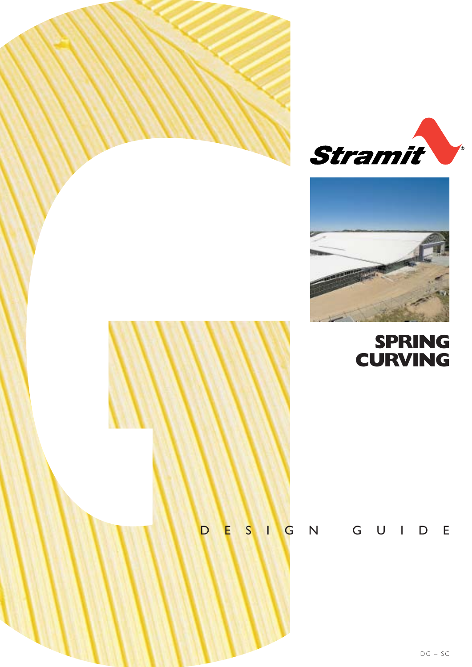



# **SPRING CURVING**

# DESIGN GUIDE

DG – SC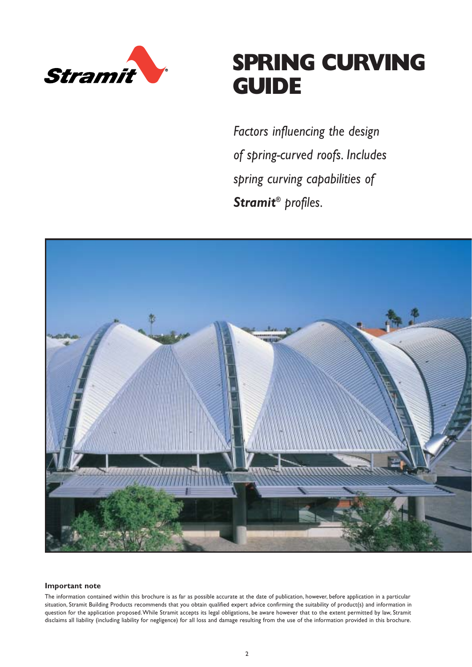

# **SPRING CURVING GUIDE**

*Factors influencing the design of spring-curved roofs. Includes spring curving capabilities of Stramit® profiles.*



#### **Important note**

The information contained within this brochure is as far as possible accurate at the date of publication, however, before application in a particular situation, Stramit Building Products recommends that you obtain qualified expert advice confirming the suitability of product(s) and information in question for the application proposed.While Stramit accepts its legal obligations, be aware however that to the extent permitted by law, Stramit disclaims all liability (including liability for negligence) for all loss and damage resulting from the use of the information provided in this brochure.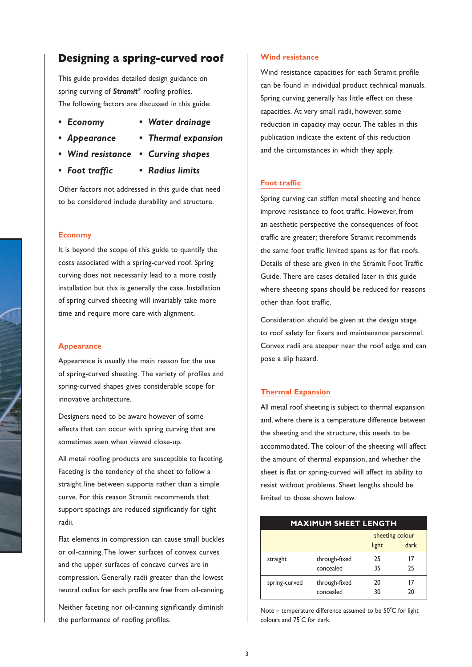# **Designing a spring-curved roof**

This guide provides detailed design guidance on spring curving of *Stramit*® roofing profiles. The following factors are discussed in this guide:

- 
- *Economy Water drainage*
- *Appearance • Thermal expansion*
- *Wind resistance Curving shapes*
- *Foot traffic Radius limits*
	-

Other factors not addressed in this guide that need to be considered include durability and structure.

#### **Economy**

It is beyond the scope of this guide to quantify the costs associated with a spring-curved roof. Spring curving does not necessarily lead to a more costly installation but this is generally the case. Installation of spring curved sheeting will invariably take more time and require more care with alignment.

#### **Appearance**

Appearance is usually the main reason for the use of spring-curved sheeting. The variety of profiles and spring-curved shapes gives considerable scope for innovative architecture.

Designers need to be aware however of some effects that can occur with spring curving that are sometimes seen when viewed close-up.

All metal roofing products are susceptible to faceting. Faceting is the tendency of the sheet to follow a straight line between supports rather than a simple curve. For this reason Stramit recommends that support spacings are reduced significantly for tight radii.

Flat elements in compression can cause small buckles or oil-canning.The lower surfaces of convex curves and the upper surfaces of concave curves are in compression. Generally radii greater than the lowest neutral radius for each profile are free from oil-canning.

Neither faceting nor oil-canning significantly diminish the performance of roofing profiles.

#### **Wind resistance**

Wind resistance capacities for each Stramit profile can be found in individual product technical manuals. Spring curving generally has little effect on these capacities. At very small radii, however, some reduction in capacity may occur. The tables in this publication indicate the extent of this reduction and the circumstances in which they apply.

#### **Foot traffic**

Spring curving can stiffen metal sheeting and hence improve resistance to foot traffic. However, from an aesthetic perspective the consequences of foot traffic are greater; therefore Stramit recommends the same foot traffic limited spans as for flat roofs. Details of these are given in the Stramit Foot Traffic Guide. There are cases detailed later in this guide where sheeting spans should be reduced for reasons other than foot traffic.

Consideration should be given at the design stage to roof safety for fixers and maintenance personnel. Convex radii are steeper near the roof edge and can pose a slip hazard.

## **Thermal Expansion**

All metal roof sheeting is subject to thermal expansion and, where there is a temperature difference between the sheeting and the structure, this needs to be accommodated. The colour of the sheeting will affect the amount of thermal expansion, and whether the sheet is flat or spring-curved will affect its ability to resist without problems. Sheet lengths should be limited to those shown below.

| <b>MAXIMUM SHEET LENGTH</b> |               |                 |      |  |  |  |  |  |
|-----------------------------|---------------|-----------------|------|--|--|--|--|--|
|                             |               | sheeting colour |      |  |  |  |  |  |
|                             |               | light           | dark |  |  |  |  |  |
| straight                    | through-fixed | 25              | 17   |  |  |  |  |  |
|                             | concealed     | 35              | 25   |  |  |  |  |  |
| spring-curved               | through-fixed | 20              | 17   |  |  |  |  |  |
|                             | concealed     | 30              | 20   |  |  |  |  |  |

Note – temperature difference assumed to be  $50^{\circ}$ C for light colours and 75°C for dark.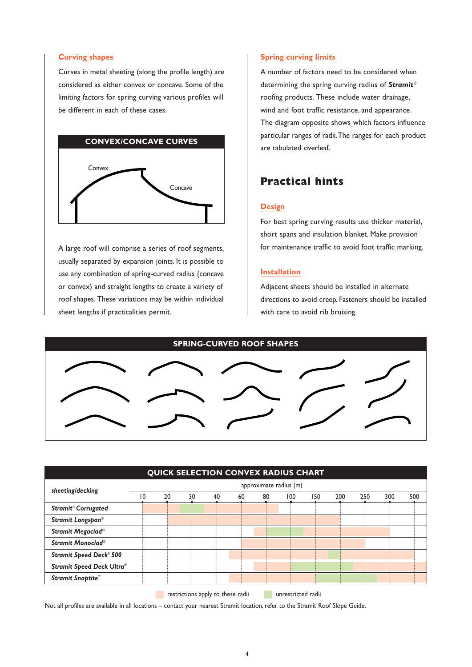#### **Curving shapes**

Curves in metal sheeting (along the profile length) are considered as either convex or concave. Some of the limiting factors for spring curving various profiles will be different in each of these cases.



A large roof will comprise a series of roof segments, usually separated by expansion joints. It is possible to use any combination of spring-curved radius (concave or convex) and straight lengths to create a variety of roof shapes. These variations may be within individual sheet lengths if practicalities permit.

#### **Spring curving limits**

A number of factors need to be considered when determining the spring curving radius of *Stramit*® roofing products. These include water drainage, wind and foot traffic resistance, and appearance. The diagram opposite shows which factors influence particular ranges of radii.The ranges for each product are tabulated overleaf.

# **Practical hints**

## **Design**

For best spring curving results use thicker material, short spans and insulation blanket. Make provision for maintenance traffic to avoid foot traffic marking.

#### **Installation**

Adjacent sheets should be installed in alternate directions to avoid creep. Fasteners should be installed with care to avoid rib bruising.



| approximate radius (m) |    |    |    |    |     |     |     |     |     |     |
|------------------------|----|----|----|----|-----|-----|-----|-----|-----|-----|
| 20                     | 30 | 40 | 60 | 80 | 100 | 150 | 200 | 250 | 300 | 500 |
|                        |    |    |    |    |     |     |     |     |     |     |
|                        |    |    |    |    |     |     |     |     |     |     |
|                        |    |    |    |    |     |     |     |     |     |     |
|                        |    |    |    |    |     |     |     |     |     |     |
|                        |    |    |    |    |     |     |     |     |     |     |
|                        |    |    |    |    |     |     |     |     |     |     |
|                        |    |    |    |    |     |     |     |     |     |     |
| 10                     |    |    |    |    |     |     |     |     |     |     |

Not all profiles are available in all locations – contact your nearest Stramit location, refer to the Stramit Roof Slope Guide.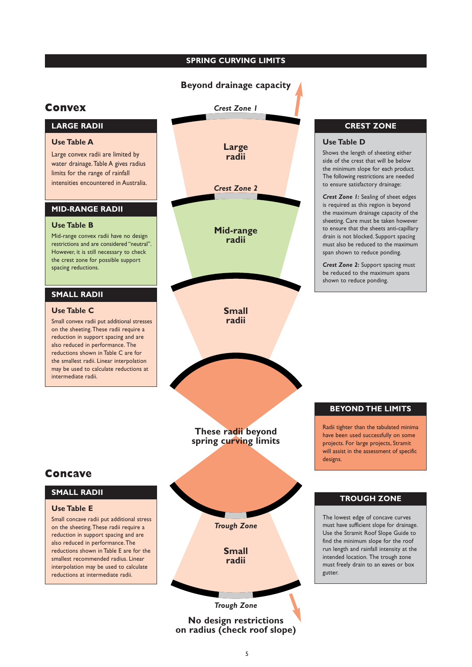# **SPRING CURVING LIMITS**

# **Beyond drainage capacity**

# **Convex**

# **LARGE RADII**

## **Use Table A**

Large convex radii are limited by water drainage.Table A gives radius limits for the range of rainfall intensities encountered in Australia.

#### **MID-RANGE RADII**

#### **Use Table B**

Mid-range convex radii have no design restrictions and are considered "neutral". However, it is still necessary to check the crest zone for possible support spacing reductions.

## **SMALL RADII**

#### **Use Table C**

Small convex radii put additional stresses on the sheeting.These radii require a reduction in support spacing and are also reduced in performance. The reductions shown in Table C are for the smallest radii. Linear interpolation may be used to calculate reductions at intermediate radii.



**No design restrictions on radius (check roof slope)**

# **CREST ZONE**

Shows the length of sheeting either side of the crest that will be below the minimum slope for each product. The following restrictions are needed to ensure satisfactory drainage:

*Crest Zone 1:* Sealing of sheet edges is required as this region is beyond the maximum drainage capacity of the sheeting. Care must be taken however to ensure that the sheets anti-capillary drain is not blocked. Support spacing must also be reduced to the maximum span shown to reduce ponding.

*Crest Zone 2:* Support spacing must be reduced to the maximum spans shown to reduce ponding.

#### **BEYOND THE LIMITS**

Radii tighter than the tabulated minima have been used successfully on some projects. For large projects, Stramit will assist in the assessment of specific

# **Concave**

# **SMALL RADII**

#### **Use Table E**

Small concave radii put additional stress on the sheeting.These radii require a reduction in support spacing and are also reduced in performance.The reductions shown in Table E are for the smallest recommended radius. Linear interpolation may be used to calculate reductions at intermediate radii.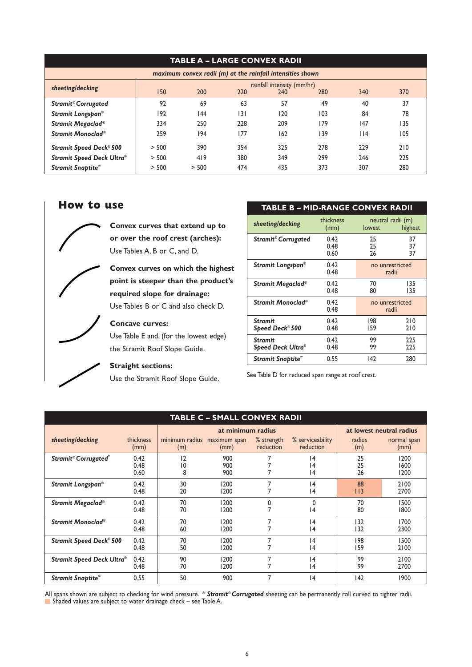| <b>TABLE A – LARGE CONVEX RADII</b>                        |                            |       |     |     |     |      |     |  |  |
|------------------------------------------------------------|----------------------------|-------|-----|-----|-----|------|-----|--|--|
| maximum convex radii (m) at the rainfall intensities shown |                            |       |     |     |     |      |     |  |  |
| sheeting/decking                                           | rainfall intensity (mm/hr) |       |     |     |     |      |     |  |  |
|                                                            | 150                        | 200   | 220 | 240 | 280 | 340  | 370 |  |  |
| <b>Stramit<sup>®</sup> Corrugated</b>                      | 92                         | 69    | 63  | 57  | 49  | 40   | 37  |  |  |
| Stramit Longspan®                                          | 192                        | 144   | 3   | 120 | 103 | 84   | 78  |  |  |
| Stramit Megaclad®                                          | 334                        | 250   | 228 | 209 | 179 | 147  | 135 |  |  |
| Stramit Monoclad®                                          | 259                        | 194   | 177 | 162 | 139 | l 14 | 105 |  |  |
| <b>Stramit Speed Deck® 500</b>                             | > 500                      | 390   | 354 | 325 | 278 | 229  | 210 |  |  |
| <b>Stramit Speed Deck Ultra®</b>                           | > 500                      | 419   | 380 | 349 | 299 | 246  | 225 |  |  |
| Stramit Snaptite™                                          | > 500                      | > 500 | 474 | 435 | 373 | 307  | 280 |  |  |

# **How to use**

**Convex curves that extend up to or over the roof crest (arches):** Use Tables A, B or C, and D.

**Convex curves on which the highest point is steeper than the product's required slope for drainage:** Use Tables B or C and also check D.

**Concave curves:**

Use Table E and, (for the lowest edge) the Stramit Roof Slope Guide.

# **Straight sections:**

Use the Stramit Roof Slope Guide.

| <b>TABLE B - MID-RANGE CONVEX RADII</b> |                      |                             |                |
|-----------------------------------------|----------------------|-----------------------------|----------------|
| sheeting/decking                        | thickness<br>(mm)    | neutral radii (m)<br>lowest | highest        |
| <b>Stramit<sup>®</sup> Corrugated</b>   | 0.42<br>0.48<br>0.60 | 25<br>25<br>26              | 37<br>37<br>37 |
| Stramit Longspan®                       | 0.42<br>0.48         | no unrestricted<br>radii    |                |
| Stramit Megaclad®                       | 0.42<br>0.48         | 70<br>80                    | 135<br>135     |
| Stramit Monoclad®                       | 0.42<br>0.48         | no unrestricted<br>radii    |                |
| <b>Stramit</b><br>Speed Deck® 500       | 0.42<br>0.48         | 198<br>159                  | 210<br>210     |
| <b>Stramit</b><br>Speed Deck Ultra®     | 0.42<br>0.48         | 99<br>99                    | 225<br>225     |
| Stramit Snaptite™                       | 0.55                 | 142                         | 280            |

See Table D for reduced span range at roof crest.

# **TABLE C – SMALL CONVEX RADII**

|                                  |                      |                                    | at minimum radius    |                                | at lowest neutral radius      |                |                      |  |
|----------------------------------|----------------------|------------------------------------|----------------------|--------------------------------|-------------------------------|----------------|----------------------|--|
| sheeting/decking                 | thickness<br>(mm)    | minimum radius<br>(m)              | maximum span<br>(mm) | % strength<br><b>reduction</b> | % serviceability<br>reduction | radius<br>(m)  | normal span<br>(mm)  |  |
| Stramit® Corrugated®             | 0.42<br>0.48<br>0.60 | $\overline{2}$<br>$ 0\rangle$<br>8 | 900<br>900<br>900    |                                | 14<br> 4<br> 4                | 25<br>25<br>26 | 1200<br>1600<br>1200 |  |
| Stramit Longspan®                | 0.42<br>0.48         | 30<br>20                           | 1200<br>1200         |                                | 4<br> 4                       | 88<br>I I 3    | 2100<br>2700         |  |
| Stramit Megaclad®                | 0.42<br>0.48         | 70<br>70                           | 1200<br>1200         | 0<br>$\overline{ }$            | 0<br> 4                       | 70<br>80       | 1500<br>1800         |  |
| Stramit Monoclad <sup>®</sup>    | 0.42<br>0.48         | 70<br>60                           | 1200<br>1200         |                                | 4<br> 4                       | 132<br>132     | 1700<br>2300         |  |
| <b>Stramit Speed Deck® 500</b>   | 0.42<br>0.48         | 70<br>50                           | 1200<br>1200         |                                | 4<br> 4                       | 198<br>159     | 1500<br>2100         |  |
| <b>Stramit Speed Deck Ultra®</b> | 0.42<br>0.48         | 90<br>70                           | 1200<br>1200         | ⇁                              | 4<br> 4                       | 99<br>99       | 2100<br>2700         |  |
| Stramit Snaptite™                | 0.55                 | 50                                 | 900                  | $\overline{7}$                 | 4                             | 142            | 1900                 |  |

All spans shown are subject to checking for wind pressure. \* *Stramit* ® *Corrugated* sheeting can be permanently roll curved to tighter radii. Shaded values are subject to water drainage check – see Table A.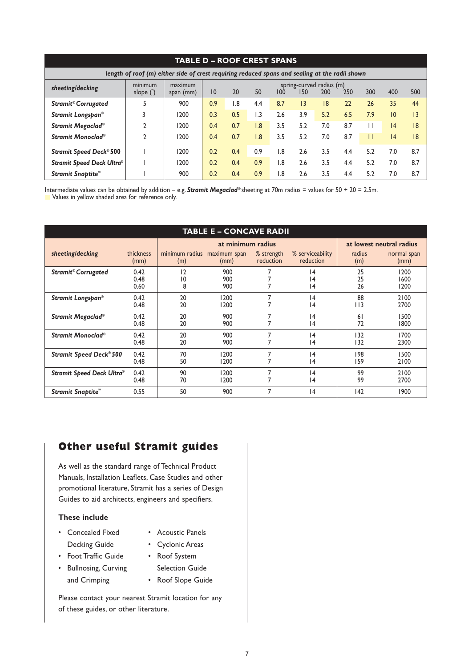| TABLE D – ROOF CREST SPANS                                                                     |                        |                      |                                                                                      |     |                |     |                 |     |     |              |     |     |
|------------------------------------------------------------------------------------------------|------------------------|----------------------|--------------------------------------------------------------------------------------|-----|----------------|-----|-----------------|-----|-----|--------------|-----|-----|
| length of roof (m) either side of crest requiring reduced spans and sealing at the radii shown |                        |                      |                                                                                      |     |                |     |                 |     |     |              |     |     |
| sheeting/decking                                                                               | minimum<br>slope $(°)$ | maximum<br>span (mm) | spring-curved radius (m)<br>20<br>50<br>150<br>200<br>300<br>250<br>400<br>10<br>100 |     |                |     |                 |     |     | 500          |     |     |
| <b>Stramit<sup>®</sup> Corrugated</b>                                                          | 5                      | 900                  | 0.9                                                                                  | 1.8 | 4.4            | 8.7 | $\overline{13}$ | 18  | 22  | 26           | 35  | 44  |
| Stramit Longspan®                                                                              |                        | 1200                 | 0.3                                                                                  | 0.5 | L <sub>3</sub> | 2.6 | 3.9             | 5.2 | 6.5 | 7.9          | 10  | 3   |
| Stramit Megaclad®                                                                              |                        | 1200                 | 0.4                                                                                  | 0.7 | 1.8            | 3.5 | 5.2             | 7.0 | 8.7 |              | 4   | 8   |
| Stramit Monoclad®                                                                              |                        | 1200                 | 0.4                                                                                  | 0.7 | 1.8            | 3.5 | 5.2             | 7.0 | 8.7 | $\mathbf{H}$ | 4   | 8   |
| <b>Stramit Speed Deck® 500</b>                                                                 |                        | 1200                 | 0.2                                                                                  | 0.4 | 0.9            | 1.8 | 2.6             | 3.5 | 4.4 | 5.2          | 7.0 | 8.7 |
| Stramit Speed Deck Ultra®                                                                      |                        | 1200                 | 0.2                                                                                  | 0.4 | 0.9            | 1.8 | 2.6             | 3.5 | 4.4 | 5.2          | 7.0 | 8.7 |
| Stramit Snaptite™                                                                              |                        | 900                  | 0.2                                                                                  | 0.4 | 0.9            | 1.8 | 2.6             | 3.5 | 4.4 | 5.2          | 7.0 | 8.7 |

Intermediate values can be obtained by addition – e.g. **Stramit Megaclad**® sheeting at 70m radius = values for 50 + 20 = 2.5m.

**Values in yellow shaded area for reference only.** 

| <b>TABLE E - CONCAVE RADII</b>        |                      |                       |                                               |                         |                               |                |                      |  |  |  |  |
|---------------------------------------|----------------------|-----------------------|-----------------------------------------------|-------------------------|-------------------------------|----------------|----------------------|--|--|--|--|
|                                       |                      |                       | at minimum radius<br>at lowest neutral radius |                         |                               |                |                      |  |  |  |  |
| sheeting/decking                      | thickness<br>(mm)    | minimum radius<br>(m) | maximum span<br>(mm)                          | % strength<br>reduction | % serviceability<br>reduction | radius<br>(m)  | normal span<br>(mm)  |  |  |  |  |
| <b>Stramit<sup>®</sup> Corrugated</b> | 0.42<br>0.48<br>0.60 | 12<br>10<br>8         | 900<br>900<br>900                             |                         | 4<br> 4<br> 4                 | 25<br>25<br>26 | 1200<br>1600<br>1200 |  |  |  |  |
| Stramit Longspan®                     | 0.42<br>0.48         | 20<br>20              | 1200<br>1200                                  |                         | 4<br> 4                       | 88<br>I I 3    | 2100<br>2700         |  |  |  |  |
| Stramit Megaclad®                     | 0.42<br>0.48         | 20<br>20              | 900<br>900                                    | 7                       | 4<br> 4                       | 61<br>72       | 1500<br>1800         |  |  |  |  |
| Stramit Monoclad®                     | 0.42<br>0.48         | 20<br>20              | 900<br>900                                    |                         | 4<br> 4                       | 132<br>132     | 1700<br>2300         |  |  |  |  |
| <b>Stramit Speed Deck® 500</b>        | 0.42<br>0.48         | 70<br>50              | 1200<br>1200                                  |                         | 4<br> 4                       | 198<br>159     | 1500<br>2100         |  |  |  |  |
| Stramit Speed Deck Ultra®             | 0.42<br>0.48         | 90<br>70              | 1200<br>1200                                  |                         | 4<br> 4                       | 99<br>99       | 2100<br>2700         |  |  |  |  |
| Stramit Snaptite™                     | 0.55                 | 50                    | 900                                           | 7                       | 4                             | 142            | 1900                 |  |  |  |  |

# **Other useful Stramit guides**

As well as the standard range of Technical Product Manuals, Installation Leaflets, Case Studies and other promotional literature, Stramit has a series of Design Guides to aid architects, engineers and specifiers.

# **These include**

- Concealed Fixed Acoustic Panels
- - Decking Guide Cyclonic Areas
- 
- Foot Traffic Guide Roof System
	-
- Bullnosing, Curving Selection Guide and Crimping • Roof Slope Guide
	-

Please contact your nearest Stramit location for any of these guides, or other literature.